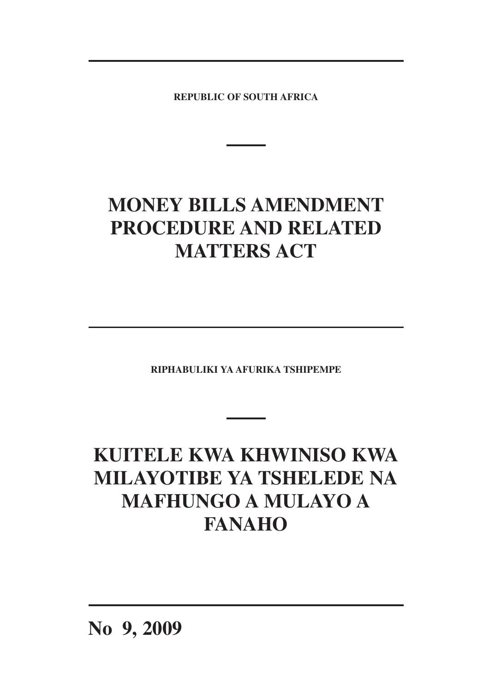**REPUBLIC OF SOUTH AFRICA**

# **MONEY BILLS AMENDMENT PROCEDURE AND RELATED MATTERS ACT**

**RIPHABULIKI YA AFURIKA TSHIPEMPE**

# **KUITELE KWA KHWINISO KWA MILAYOTIBE YA TSHELEDE NA MAFHUNGO A MULAYO A FANAHO**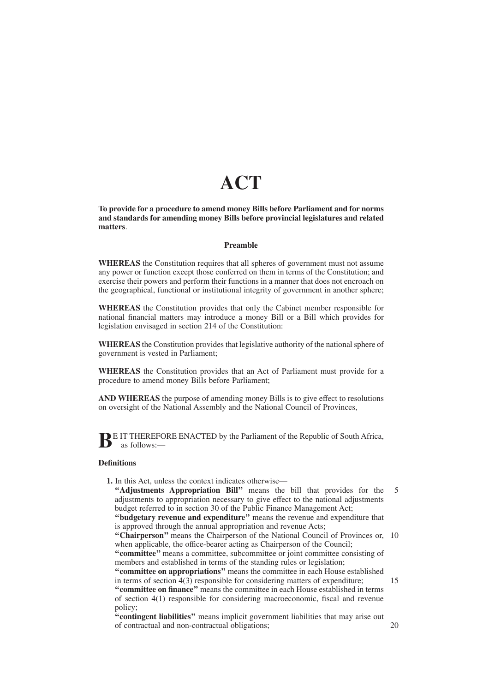# **ACT**

**To provide for a procedure to amend money Bills before Parliament and for norms and standards for amending money Bills before provincial legislatures and related matters**.

# **Preamble**

**WHEREAS** the Constitution requires that all spheres of government must not assume any power or function except those conferred on them in terms of the Constitution; and exercise their powers and perform their functions in a manner that does not encroach on the geographical, functional or institutional integrity of government in another sphere;

**WHEREAS** the Constitution provides that only the Cabinet member responsible for national financial matters may introduce a money Bill or a Bill which provides for legislation envisaged in section 214 of the Constitution:

**WHEREAS** the Constitution provides that legislative authority of the national sphere of government is vested in Parliament;

**WHEREAS** the Constitution provides that an Act of Parliament must provide for a procedure to amend money Bills before Parliament;

**AND WHEREAS** the purpose of amending money Bills is to give effect to resolutions on oversight of the National Assembly and the National Council of Provinces,

**B**E IT THEREFORE ENACTED by the Parliament of the Republic of South Africa, as follows:—

### **Definitions**

- **1.** In this Act, unless the context indicates otherwise—
	- **''Adjustments Appropriation Bill''** means the bill that provides for the adjustments to appropriation necessary to give effect to the national adjustments budget referred to in section 30 of the Public Finance Management Act; 5

**''budgetary revenue and expenditure''** means the revenue and expenditure that is approved through the annual appropriation and revenue Acts;

"Chairperson" means the Chairperson of the National Council of Provinces or, 10 when applicable, the office-bearer acting as Chairperson of the Council;

**''committee''** means a committee, subcommittee or joint committee consisting of members and established in terms of the standing rules or legislation; **''committee on appropriations''** means the committee in each House established

in terms of section 4(3) responsible for considering matters of expenditure; 15

**''committee on finance''** means the committee in each House established in terms of section 4(1) responsible for considering macroeconomic, fiscal and revenue policy;

**''contingent liabilities''** means implicit government liabilities that may arise out of contractual and non-contractual obligations;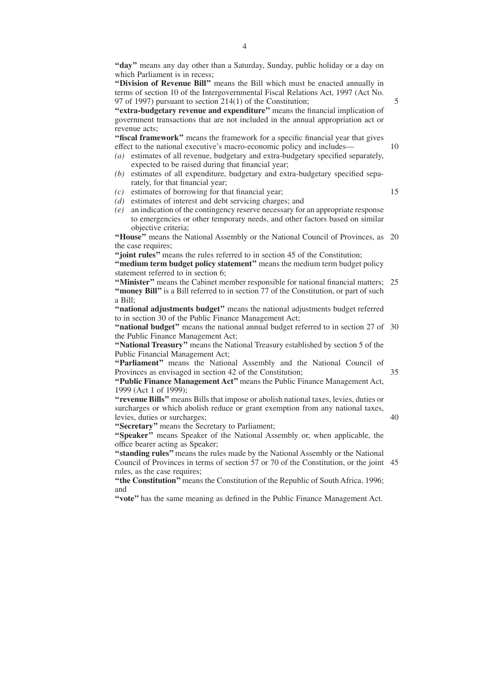**''day''** means any day other than a Saturday, Sunday, public holiday or a day on which Parliament is in recess;

**''Division of Revenue Bill''** means the Bill which must be enacted annually in terms of section 10 of the Intergovernmental Fiscal Relations Act, 1997 (Act No. 97 of 1997) pursuant to section 214(1) of the Constitution;

**''extra-budgetary revenue and expenditure''** means the financial implication of government transactions that are not included in the annual appropriation act or revenue acts;

"fiscal framework" means the framework for a specific financial year that gives effect to the national executive's macro-economic policy and includes—

- *(a)* estimates of all revenue, budgetary and extra-budgetary specified separately, expected to be raised during that financial year;
- *(b)* estimates of all expenditure, budgetary and extra-budgetary specified separately, for that financial year;
- *(c)* estimates of borrowing for that financial year;
- *(d)* estimates of interest and debt servicing charges; and
- *(e)* an indication of the contingency reserve necessary for an appropriate response to emergencies or other temporary needs, and other factors based on similar objective criteria;

"House" means the National Assembly or the National Council of Provinces, as 20 the case requires;

**''joint rules''** means the rules referred to in section 45 of the Constitution;

**''medium term budget policy statement''** means the medium term budget policy statement referred to in section 6;

"Minister" means the Cabinet member responsible for national financial matters; 25 "money Bill" is a Bill referred to in section 77 of the Constitution, or part of such a Bill;

**''national adjustments budget''** means the national adjustments budget referred to in section 30 of the Public Finance Management Act;

"national budget" means the national annual budget referred to in section 27 of 30 the Public Finance Management Act;

**''National Treasury''** means the National Treasury established by section 5 of the Public Financial Management Act;

"Parliament" means the National Assembly and the National Council of Provinces as envisaged in section 42 of the Constitution; 35

**''Public Finance Management Act''** means the Public Finance Management Act, 1999 (Act 1 of 1999);

**''revenue Bills''** means Bills that impose or abolish national taxes, levies, duties or surcharges or which abolish reduce or grant exemption from any national taxes, levies, duties or surcharges;

**''Secretary''** means the Secretary to Parliament;

"Speaker" means Speaker of the National Assembly or, when applicable, the office bearer acting as Speaker;

**''standing rules''** means the rules made by the National Assembly or the National Council of Provinces in terms of section 57 or 70 of the Constitution, or the joint 45rules, as the case requires;

**''the Constitution''**means the Constitution of the Republic of South Africa, 1996; and

**''vote''** has the same meaning as defined in the Public Finance Management Act.

15

10

5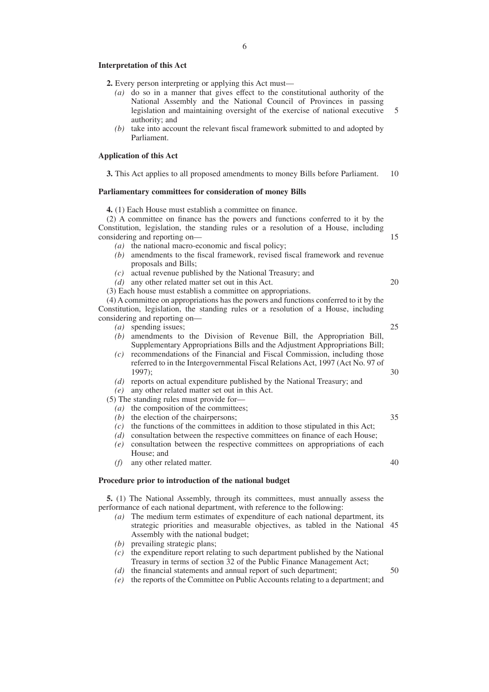#### **Interpretation of this Act**

- **2.** Every person interpreting or applying this Act must—
	- *(a)* do so in a manner that gives effect to the constitutional authority of the National Assembly and the National Council of Provinces in passing legislation and maintaining oversight of the exercise of national executive authority; and
	- *(b)* take into account the relevant fiscal framework submitted to and adopted by Parliament.

### **Application of this Act**

**3.** This Act applies to all proposed amendments to money Bills before Parliament. 10

### **Parliamentary committees for consideration of money Bills**

**4.** (1) Each House must establish a committee on finance.

(2) A committee on finance has the powers and functions conferred to it by the Constitution, legislation, the standing rules or a resolution of a House, including considering and reporting on—

- *(a)* the national macro-economic and fiscal policy;
- *(b)* amendments to the fiscal framework, revised fiscal framework and revenue proposals and Bills;
- *(c)* actual revenue published by the National Treasury; and
- *(d)* any other related matter set out in this Act.
- (3) Each house must establish a committee on appropriations.

(4) A committee on appropriations has the powers and functions conferred to it by the Constitution, legislation, the standing rules or a resolution of a House, including considering and reporting on—

- *(a)* spending issues;
- *(b)* amendments to the Division of Revenue Bill, the Appropriation Bill, Supplementary Appropriations Bills and the Adjustment Appropriations Bill;
- *(c)* recommendations of the Financial and Fiscal Commission, including those referred to in the Intergovernmental Fiscal Relations Act, 1997 (Act No. 97 of 1997);
- *(d)* reports on actual expenditure published by the National Treasury; and
- *(e)* any other related matter set out in this Act.
- (5) The standing rules must provide for—
	- *(a)* the composition of the committees;
	- *(b)* the election of the chairpersons;
	- *(c)* the functions of the committees in addition to those stipulated in this Act;
	- *(d)* consultation between the respective committees on finance of each House;
	- *(e)* consultation between the respective committees on appropriations of each House; and
	- *(f)* any other related matter.

# **Procedure prior to introduction of the national budget**

**5.** (1) The National Assembly, through its committees, must annually assess the performance of each national department, with reference to the following:

- *(a)* The medium term estimates of expenditure of each national department, its strategic priorities and measurable objectives, as tabled in the National 45 Assembly with the national budget;
- *(b)* prevailing strategic plans;
- *(c)* the expenditure report relating to such department published by the National Treasury in terms of section 32 of the Public Finance Management Act;
- *(d)* the financial statements and annual report of such department; 50
- *(e)* the reports of the Committee on Public Accounts relating to a department; and

25

30

35

40

20

15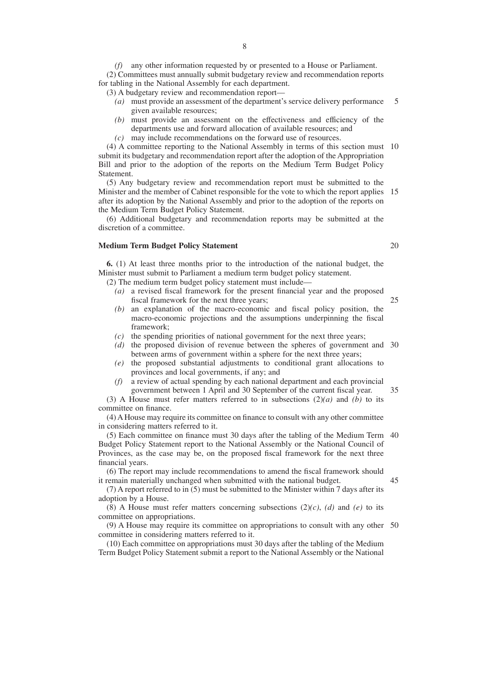*(f)* any other information requested by or presented to a House or Parliament. (2) Committees must annually submit budgetary review and recommendation reports for tabling in the National Assembly for each department.

(3) A budgetary review and recommendation report—

- *(a)* must provide an assessment of the department's service delivery performance given available resources; 5
- *(b)* must provide an assessment on the effectiveness and efficiency of the departments use and forward allocation of available resources; and
- *(c)* may include recommendations on the forward use of resources.

(4) A committee reporting to the National Assembly in terms of this section must 10 submit its budgetary and recommendation report after the adoption of the Appropriation Bill and prior to the adoption of the reports on the Medium Term Budget Policy Statement.

(5) Any budgetary review and recommendation report must be submitted to the Minister and the member of Cabinet responsible for the vote to which the report applies 15 after its adoption by the National Assembly and prior to the adoption of the reports on the Medium Term Budget Policy Statement.

(6) Additional budgetary and recommendation reports may be submitted at the discretion of a committee.

# **Medium Term Budget Policy Statement**

**6.** (1) At least three months prior to the introduction of the national budget, the Minister must submit to Parliament a medium term budget policy statement.

(2) The medium term budget policy statement must include—

- *(a)* a revised fiscal framework for the present financial year and the proposed fiscal framework for the next three years; 25
- *(b)* an explanation of the macro-economic and fiscal policy position, the macro-economic projections and the assumptions underpinning the fiscal framework;
- *(c)* the spending priorities of national government for the next three years;
- *(d)* the proposed division of revenue between the spheres of government and 30 between arms of government within a sphere for the next three years;
- *(e)* the proposed substantial adjustments to conditional grant allocations to provinces and local governments, if any; and
- *(f)* a review of actual spending by each national department and each provincial government between 1 April and 30 September of the current fiscal year.

(3) A House must refer matters referred to in subsections  $(2)(a)$  and *(b)* to its committee on finance.

(4) A House may require its committee on finance to consult with any other committee in considering matters referred to it.

(5) Each committee on finance must 30 days after the tabling of the Medium Term 40 Budget Policy Statement report to the National Assembly or the National Council of Provinces, as the case may be, on the proposed fiscal framework for the next three financial years.

(6) The report may include recommendations to amend the fiscal framework should it remain materially unchanged when submitted with the national budget.

(7) A report referred to in (5) must be submitted to the Minister within 7 days after its adoption by a House.

 $(8)$  A House must refer matters concerning subsections  $(2)(c)$ ,  $(d)$  and  $(e)$  to its committee on appropriations.

(9) A House may require its committee on appropriations to consult with any other 50committee in considering matters referred to it.

(10) Each committee on appropriations must 30 days after the tabling of the Medium Term Budget Policy Statement submit a report to the National Assembly or the National

20

35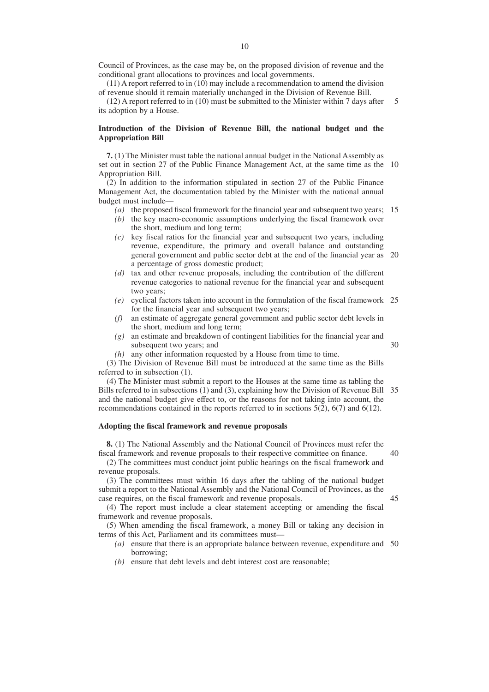Council of Provinces, as the case may be, on the proposed division of revenue and the conditional grant allocations to provinces and local governments.

(11) A report referred to in (10) may include a recommendation to amend the division of revenue should it remain materially unchanged in the Division of Revenue Bill.

(12) A report referred to in (10) must be submitted to the Minister within 7 days after its adoption by a House. 5

# **Introduction of the Division of Revenue Bill, the national budget and the Appropriation Bill**

**7.** (1) The Minister must table the national annual budget in the National Assembly as set out in section 27 of the Public Finance Management Act, at the same time as the 10 Appropriation Bill.

(2) In addition to the information stipulated in section 27 of the Public Finance Management Act, the documentation tabled by the Minister with the national annual budget must include—

*(a)* the proposed fiscal framework for the financial year and subsequent two years; 15

- *(b)* the key macro-economic assumptions underlying the fiscal framework over the short, medium and long term;
- *(c)* key fiscal ratios for the financial year and subsequent two years, including revenue, expenditure, the primary and overall balance and outstanding general government and public sector debt at the end of the financial year as 20 a percentage of gross domestic product;
- *(d)* tax and other revenue proposals, including the contribution of the different revenue categories to national revenue for the financial year and subsequent two years;
- *(e)* cyclical factors taken into account in the formulation of the fiscal framework 25 for the financial year and subsequent two years;
- *(f)* an estimate of aggregate general government and public sector debt levels in the short, medium and long term;
- *(g)* an estimate and breakdown of contingent liabilities for the financial year and subsequent two years; and 30
- *(h)* any other information requested by a House from time to time.

(3) The Division of Revenue Bill must be introduced at the same time as the Bills referred to in subsection (1).

(4) The Minister must submit a report to the Houses at the same time as tabling the Bills referred to in subsections (1) and (3), explaining how the Division of Revenue Bill 35 and the national budget give effect to, or the reasons for not taking into account, the recommendations contained in the reports referred to in sections 5(2), 6(7) and 6(12).

### **Adopting the fiscal framework and revenue proposals**

**8.** (1) The National Assembly and the National Council of Provinces must refer the fiscal framework and revenue proposals to their respective committee on finance.

(2) The committees must conduct joint public hearings on the fiscal framework and revenue proposals.

(3) The committees must within 16 days after the tabling of the national budget submit a report to the National Assembly and the National Council of Provinces, as the case requires, on the fiscal framework and revenue proposals.

45

40

(4) The report must include a clear statement accepting or amending the fiscal framework and revenue proposals.

(5) When amending the fiscal framework, a money Bill or taking any decision in terms of this Act, Parliament and its committees must—

- *(a)* ensure that there is an appropriate balance between revenue, expenditure and 50borrowing;
- *(b)* ensure that debt levels and debt interest cost are reasonable;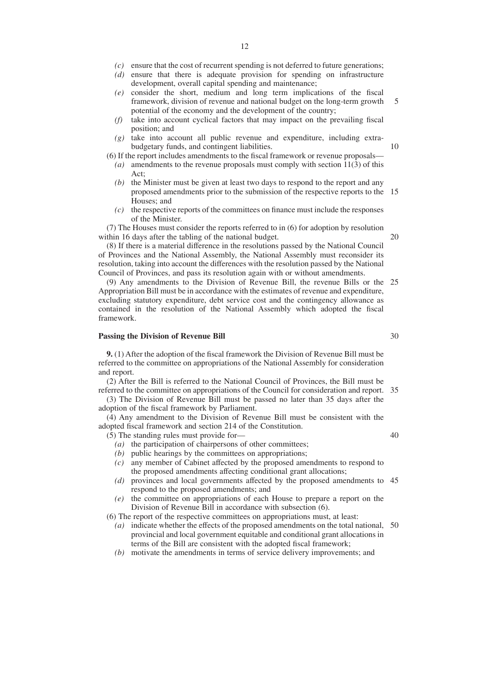- *(d)* ensure that there is adequate provision for spending on infrastructure development, overall capital spending and maintenance;
- *(e)* consider the short, medium and long term implications of the fiscal framework, division of revenue and national budget on the long-term growth potential of the economy and the development of the country; 5
- *(f)* take into account cyclical factors that may impact on the prevailing fiscal position; and
- *(g)* take into account all public revenue and expenditure, including extrabudgetary funds, and contingent liabilities.
- (6) If the report includes amendments to the fiscal framework or revenue proposals— *(a)* amendments to the revenue proposals must comply with section 11(3) of this  $Act$ 
	- *(b)* the Minister must be given at least two days to respond to the report and any proposed amendments prior to the submission of the respective reports to the 15 Houses; and
	- *(c)* the respective reports of the committees on finance must include the responses of the Minister.

(7) The Houses must consider the reports referred to in (6) for adoption by resolution within 16 days after the tabling of the national budget.

(8) If there is a material difference in the resolutions passed by the National Council of Provinces and the National Assembly, the National Assembly must reconsider its resolution, taking into account the differences with the resolution passed by the National Council of Provinces, and pass its resolution again with or without amendments.

(9) Any amendments to the Division of Revenue Bill, the revenue Bills or the 25 Appropriation Bill must be in accordance with the estimates of revenue and expenditure, excluding statutory expenditure, debt service cost and the contingency allowance as contained in the resolution of the National Assembly which adopted the fiscal framework.

#### **Passing the Division of Revenue Bill**

**9.** (1) After the adoption of the fiscal framework the Division of Revenue Bill must be referred to the committee on appropriations of the National Assembly for consideration and report.

(2) After the Bill is referred to the National Council of Provinces, the Bill must be referred to the committee on appropriations of the Council for consideration and report. 35

(3) The Division of Revenue Bill must be passed no later than 35 days after the adoption of the fiscal framework by Parliament.

(4) Any amendment to the Division of Revenue Bill must be consistent with the adopted fiscal framework and section 214 of the Constitution.

(5) The standing rules must provide for—

- *(a)* the participation of chairpersons of other committees;
- *(b)* public hearings by the committees on appropriations;
- *(c)* any member of Cabinet affected by the proposed amendments to respond to the proposed amendments affecting conditional grant allocations;
- *(d)* provinces and local governments affected by the proposed amendments to 45 respond to the proposed amendments; and
- *(e)* the committee on appropriations of each House to prepare a report on the Division of Revenue Bill in accordance with subsection (6).

(6) The report of the respective committees on appropriations must, at least:

- *(a)* indicate whether the effects of the proposed amendments on the total national, 50provincial and local government equitable and conditional grant allocations in terms of the Bill are consistent with the adopted fiscal framework;
- *(b)* motivate the amendments in terms of service delivery improvements; and

40

30

10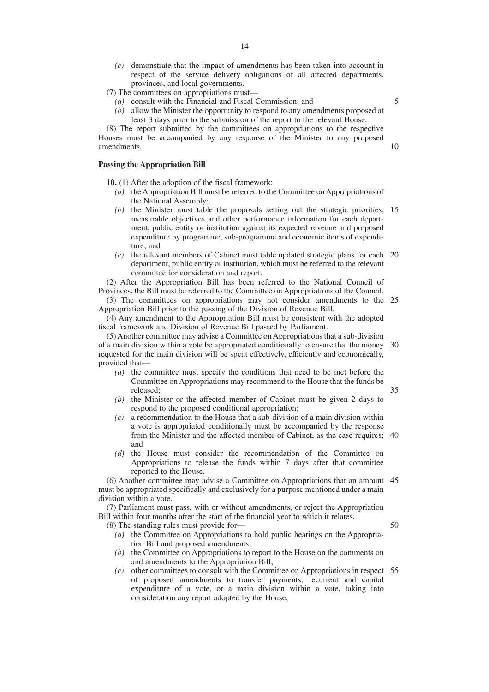*(c)* demonstrate that the impact of amendments has been taken into account in respect of the service delivery obligations of all affected departments, provinces, and local governments.

(7) The committees on appropriations must—

- *(a)* consult with the Financial and Fiscal Commission; and
- *(b)* allow the Minister the opportunity to respond to any amendments proposed at least 3 days prior to the submission of the report to the relevant House.

(8) The report submitted by the committees on appropriations to the respective Houses must be accompanied by any response of the Minister to any proposed amendments.

# **Passing the Appropriation Bill**

**10.** (1) After the adoption of the fiscal framework:

- *(a)* the Appropriation Bill must be referred to the Committee on Appropriations of the National Assembly;
- *(b)* the Minister must table the proposals setting out the strategic priorities, 15 measurable objectives and other performance information for each department, public entity or institution against its expected revenue and proposed expenditure by programme, sub-programme and economic items of expenditure; and
- *(c)* the relevant members of Cabinet must table updated strategic plans for each 20 department, public entity or institution, which must be referred to the relevant committee for consideration and report.

(2) After the Appropriation Bill has been referred to the National Council of Provinces, the Bill must be referred to the Committee on Appropriations of the Council.

(3) The committees on appropriations may not consider amendments to the 25 Appropriation Bill prior to the passing of the Division of Revenue Bill.

(4) Any amendment to the Appropriation Bill must be consistent with the adopted fiscal framework and Division of Revenue Bill passed by Parliament.

(5) Another committee may advise a Committee on Appropriations that a sub-division of a main division within a vote be appropriated conditionally to ensure that the money 30 requested for the main division will be spent effectively, efficiently and economically, provided that—

- *(a)* the committee must specify the conditions that need to be met before the Committee on Appropriations may recommend to the House that the funds be released; 35
- *(b)* the Minister or the affected member of Cabinet must be given 2 days to respond to the proposed conditional appropriation;
- *(c)* a recommendation to the House that a sub-division of a main division within a vote is appropriated conditionally must be accompanied by the response from the Minister and the affected member of Cabinet, as the case requires; 40 and
- *(d)* the House must consider the recommendation of the Committee on Appropriations to release the funds within 7 days after that committee reported to the House.

(6) Another committee may advise a Committee on Appropriations that an amount 45 must be appropriated specifically and exclusively for a purpose mentioned under a main division within a vote.

(7) Parliament must pass, with or without amendments, or reject the Appropriation Bill within four months after the start of the financial year to which it relates.

(8) The standing rules must provide for—

- *(a)* the Committee on Appropriations to hold public hearings on the Appropriation Bill and proposed amendments;
- *(b)* the Committee on Appropriations to report to the House on the comments on and amendments to the Appropriation Bill;
- *(c)* other committees to consult with the Committee on Appropriations in respect 55of proposed amendments to transfer payments, recurrent and capital expenditure of a vote, or a main division within a vote, taking into consideration any report adopted by the House;

50

5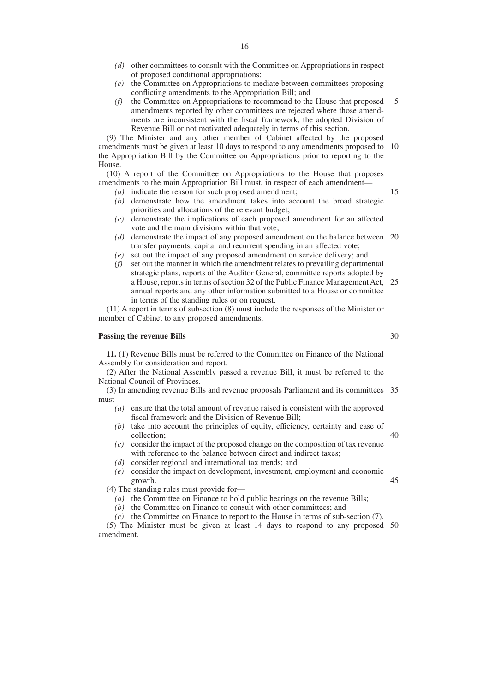- *(d)* other committees to consult with the Committee on Appropriations in respect of proposed conditional appropriations;
- *(e)* the Committee on Appropriations to mediate between committees proposing conflicting amendments to the Appropriation Bill; and
- *(f)* the Committee on Appropriations to recommend to the House that proposed amendments reported by other committees are rejected where those amendments are inconsistent with the fiscal framework, the adopted Division of Revenue Bill or not motivated adequately in terms of this section. 5

(9) The Minister and any other member of Cabinet affected by the proposed amendments must be given at least 10 days to respond to any amendments proposed to 10 the Appropriation Bill by the Committee on Appropriations prior to reporting to the House.

(10) A report of the Committee on Appropriations to the House that proposes amendments to the main Appropriation Bill must, in respect of each amendment—

- *(a)* indicate the reason for such proposed amendment;
- *(b)* demonstrate how the amendment takes into account the broad strategic priorities and allocations of the relevant budget;
- *(c)* demonstrate the implications of each proposed amendment for an affected vote and the main divisions within that vote;
- *(d)* demonstrate the impact of any proposed amendment on the balance between 20 transfer payments, capital and recurrent spending in an affected vote;
- *(e)* set out the impact of any proposed amendment on service delivery; and
- *(f)* set out the manner in which the amendment relates to prevailing departmental strategic plans, reports of the Auditor General, committee reports adopted by a House, reports in terms of section 32 of the Public Finance Management Act, 25 annual reports and any other information submitted to a House or committee in terms of the standing rules or on request.

(11) A report in terms of subsection (8) must include the responses of the Minister or member of Cabinet to any proposed amendments.

# **Passing the revenue Bills**

**11.** (1) Revenue Bills must be referred to the Committee on Finance of the National Assembly for consideration and report.

(2) After the National Assembly passed a revenue Bill, it must be referred to the National Council of Provinces.

(3) In amending revenue Bills and revenue proposals Parliament and its committees 35 must—

- *(a)* ensure that the total amount of revenue raised is consistent with the approved fiscal framework and the Division of Revenue Bill;
- *(b)* take into account the principles of equity, efficiency, certainty and ease of collection;
- *(c)* consider the impact of the proposed change on the composition of tax revenue with reference to the balance between direct and indirect taxes;
- *(d)* consider regional and international tax trends; and
- *(e)* consider the impact on development, investment, employment and economic growth.

(4) The standing rules must provide for—

- *(a)* the Committee on Finance to hold public hearings on the revenue Bills;
- *(b)* the Committee on Finance to consult with other committees; and
- *(c)* the Committee on Finance to report to the House in terms of sub-section (7).

(5) The Minister must be given at least 14 days to respond to any proposed 50amendment.

30

40

45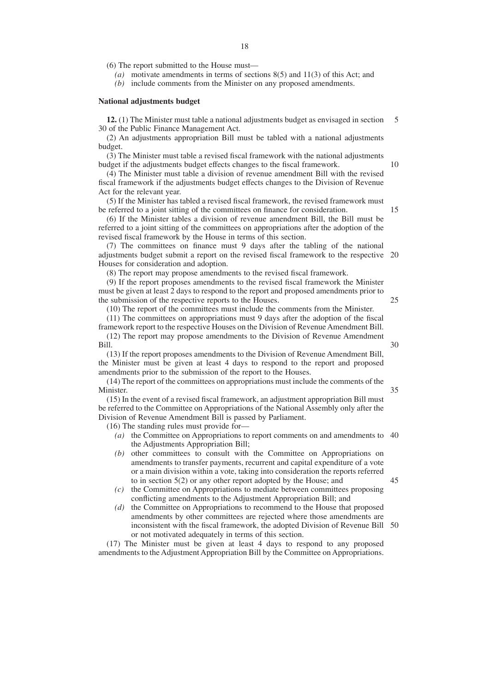(6) The report submitted to the House must—

*(a)* motivate amendments in terms of sections 8(5) and 11(3) of this Act; and

*(b)* include comments from the Minister on any proposed amendments.

# **National adjustments budget**

**12.** (1) The Minister must table a national adjustments budget as envisaged in section 30 of the Public Finance Management Act. 5

(2) An adjustments appropriation Bill must be tabled with a national adjustments budget.

(3) The Minister must table a revised fiscal framework with the national adjustments budget if the adjustments budget effects changes to the fiscal framework.

(4) The Minister must table a division of revenue amendment Bill with the revised fiscal framework if the adjustments budget effects changes to the Division of Revenue Act for the relevant year.

(5) If the Minister has tabled a revised fiscal framework, the revised framework must be referred to a joint sitting of the committees on finance for consideration.

(6) If the Minister tables a division of revenue amendment Bill, the Bill must be referred to a joint sitting of the committees on appropriations after the adoption of the revised fiscal framework by the House in terms of this section.

(7) The committees on finance must 9 days after the tabling of the national adjustments budget submit a report on the revised fiscal framework to the respective 20 Houses for consideration and adoption.

(8) The report may propose amendments to the revised fiscal framework.

(9) If the report proposes amendments to the revised fiscal framework the Minister must be given at least 2 days to respond to the report and proposed amendments prior to the submission of the respective reports to the Houses. 25

(10) The report of the committees must include the comments from the Minister.

(11) The committees on appropriations must 9 days after the adoption of the fiscal framework report to the respective Houses on the Division of Revenue Amendment Bill. (12) The report may propose amendments to the Division of Revenue Amendment Bill.

(13) If the report proposes amendments to the Division of Revenue Amendment Bill, the Minister must be given at least 4 days to respond to the report and proposed amendments prior to the submission of the report to the Houses.

(14) The report of the committees on appropriations must include the comments of the Minister.

(15) In the event of a revised fiscal framework, an adjustment appropriation Bill must be referred to the Committee on Appropriations of the National Assembly only after the Division of Revenue Amendment Bill is passed by Parliament.

(16) The standing rules must provide for—

- *(a)* the Committee on Appropriations to report comments on and amendments to 40 the Adjustments Appropriation Bill;
- *(b)* other committees to consult with the Committee on Appropriations on amendments to transfer payments, recurrent and capital expenditure of a vote or a main division within a vote, taking into consideration the reports referred to in section 5(2) or any other report adopted by the House; and 45
- *(c)* the Committee on Appropriations to mediate between committees proposing conflicting amendments to the Adjustment Appropriation Bill; and
- *(d)* the Committee on Appropriations to recommend to the House that proposed amendments by other committees are rejected where those amendments are inconsistent with the fiscal framework, the adopted Division of Revenue Bill 50or not motivated adequately in terms of this section.

(17) The Minister must be given at least 4 days to respond to any proposed amendments to the Adjustment Appropriation Bill by the Committee on Appropriations.

35

10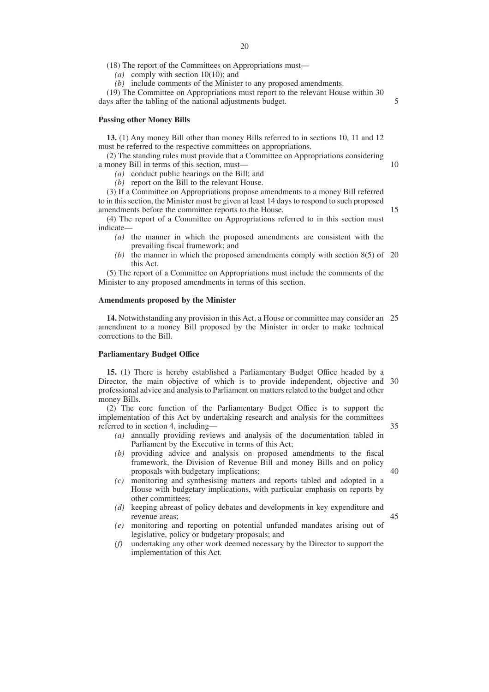(18) The report of the Committees on Appropriations must—

*(a)* comply with section 10(10); and

*(b)* include comments of the Minister to any proposed amendments.

(19) The Committee on Appropriations must report to the relevant House within 30 days after the tabling of the national adjustments budget.

#### **Passing other Money Bills**

**13.** (1) Any money Bill other than money Bills referred to in sections 10, 11 and 12 must be referred to the respective committees on appropriations.

(2) The standing rules must provide that a Committee on Appropriations considering a money Bill in terms of this section, must—

*(a)* conduct public hearings on the Bill; and

*(b)* report on the Bill to the relevant House.

(3) If a Committee on Appropriations propose amendments to a money Bill referred to in this section, the Minister must be given at least 14 days to respond to such proposed amendments before the committee reports to the House.

(4) The report of a Committee on Appropriations referred to in this section must indicate—

- *(a)* the manner in which the proposed amendments are consistent with the prevailing fiscal framework; and
- *(b)* the manner in which the proposed amendments comply with section 8(5) of 20 this Act.

(5) The report of a Committee on Appropriations must include the comments of the Minister to any proposed amendments in terms of this section.

### **Amendments proposed by the Minister**

**14.** Notwithstanding any provision in this Act, a House or committee may consider an 25 amendment to a money Bill proposed by the Minister in order to make technical corrections to the Bill.

# **Parliamentary Budget Office**

**15.** (1) There is hereby established a Parliamentary Budget Office headed by a Director, the main objective of which is to provide independent, objective and 30 professional advice and analysis to Parliament on matters related to the budget and other money Bills.

(2) The core function of the Parliamentary Budget Office is to support the implementation of this Act by undertaking research and analysis for the committees referred to in section 4, including—

- *(a)* annually providing reviews and analysis of the documentation tabled in Parliament by the Executive in terms of this Act;
- *(b)* providing advice and analysis on proposed amendments to the fiscal framework, the Division of Revenue Bill and money Bills and on policy proposals with budgetary implications;
- *(c)* monitoring and synthesising matters and reports tabled and adopted in a House with budgetary implications, with particular emphasis on reports by other committees;
- *(d)* keeping abreast of policy debates and developments in key expenditure and revenue areas; 45
- *(e)* monitoring and reporting on potential unfunded mandates arising out of legislative, policy or budgetary proposals; and
- *(f)* undertaking any other work deemed necessary by the Director to support the implementation of this Act.

35

5

10

15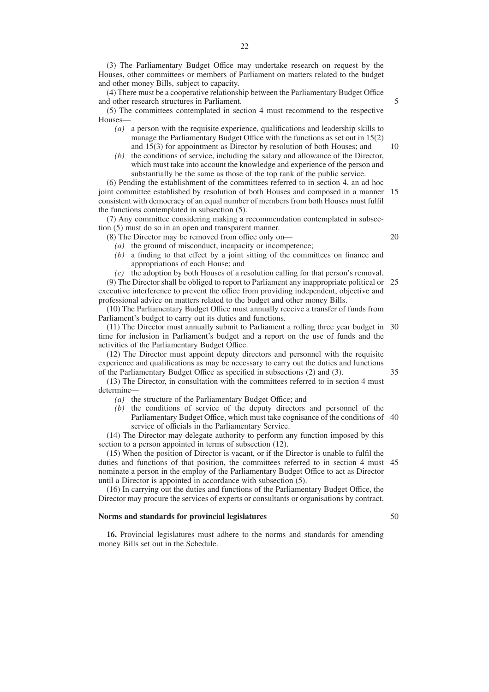(3) The Parliamentary Budget Office may undertake research on request by the Houses, other committees or members of Parliament on matters related to the budget and other money Bills, subject to capacity.

(4) There must be a cooperative relationship between the Parliamentary Budget Office and other research structures in Parliament.

(5) The committees contemplated in section 4 must recommend to the respective Houses—

- *(a)* a person with the requisite experience, qualifications and leadership skills to manage the Parliamentary Budget Office with the functions as set out in 15(2) and 15(3) for appointment as Director by resolution of both Houses; and
- *(b)* the conditions of service, including the salary and allowance of the Director, which must take into account the knowledge and experience of the person and substantially be the same as those of the top rank of the public service.

(6) Pending the establishment of the committees referred to in section 4, an ad hoc joint committee established by resolution of both Houses and composed in a manner consistent with democracy of an equal number of members from both Houses must fulfil the functions contemplated in subsection (5). 15

(7) Any committee considering making a recommendation contemplated in subsection (5) must do so in an open and transparent manner.

- (8) The Director may be removed from office only on—
	- *(a)* the ground of misconduct, incapacity or incompetence;
	- *(b)* a finding to that effect by a joint sitting of the committees on finance and appropriations of each House; and
	- *(c)* the adoption by both Houses of a resolution calling for that person's removal.

(9) The Director shall be obliged to report to Parliament any inappropriate political or 25 executive interference to prevent the office from providing independent, objective and professional advice on matters related to the budget and other money Bills.

(10) The Parliamentary Budget Office must annually receive a transfer of funds from Parliament's budget to carry out its duties and functions.

(11) The Director must annually submit to Parliament a rolling three year budget in 30 time for inclusion in Parliament's budget and a report on the use of funds and the activities of the Parliamentary Budget Office.

(12) The Director must appoint deputy directors and personnel with the requisite experience and qualifications as may be necessary to carry out the duties and functions of the Parliamentary Budget Office as specified in subsections (2) and (3).

(13) The Director, in consultation with the committees referred to in section 4 must determine—

- *(a)* the structure of the Parliamentary Budget Office; and
- *(b)* the conditions of service of the deputy directors and personnel of the Parliamentary Budget Office, which must take cognisance of the conditions of 40 service of officials in the Parliamentary Service.

(14) The Director may delegate authority to perform any function imposed by this section to a person appointed in terms of subsection (12).

(15) When the position of Director is vacant, or if the Director is unable to fulfil the duties and functions of that position, the committees referred to in section 4 must 45 nominate a person in the employ of the Parliamentary Budget Office to act as Director until a Director is appointed in accordance with subsection (5).

(16) In carrying out the duties and functions of the Parliamentary Budget Office, the Director may procure the services of experts or consultants or organisations by contract.

# **Norms and standards for provincial legislatures**

**16.** Provincial legislatures must adhere to the norms and standards for amending money Bills set out in the Schedule.

- 5
- 

10

20

35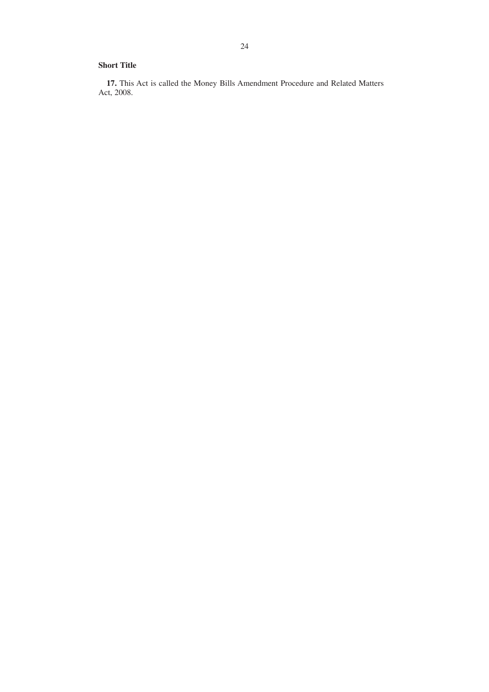# **Short Title**

**17.** This Act is called the Money Bills Amendment Procedure and Related Matters Act, 2008.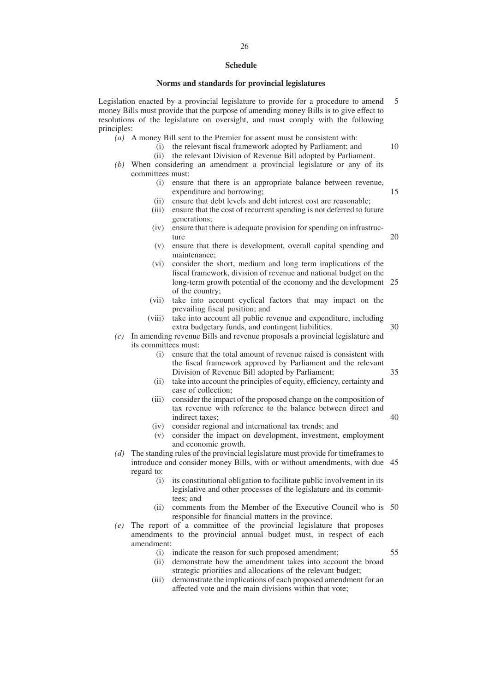### **Schedule**

#### **Norms and standards for provincial legislatures**

Legislation enacted by a provincial legislature to provide for a procedure to amend money Bills must provide that the purpose of amending money Bills is to give effect to resolutions of the legislature on oversight, and must comply with the following principles: 5

- *(a)* A money Bill sent to the Premier for assent must be consistent with:
	- (i) the relevant fiscal framework adopted by Parliament; and
	- (ii) the relevant Division of Revenue Bill adopted by Parliament.
- *(b)* When considering an amendment a provincial legislature or any of its committees must:
	- (i) ensure that there is an appropriate balance between revenue, expenditure and borrowing;
	- (ii) ensure that debt levels and debt interest cost are reasonable;
	- (iii) ensure that the cost of recurrent spending is not deferred to future generations;
	- (iv) ensure that there is adequate provision for spending on infrastructure
	- (v) ensure that there is development, overall capital spending and maintenance;
	- (vi) consider the short, medium and long term implications of the fiscal framework, division of revenue and national budget on the long-term growth potential of the economy and the development 25 of the country;
	- (vii) take into account cyclical factors that may impact on the prevailing fiscal position; and
	- (viii) take into account all public revenue and expenditure, including extra budgetary funds, and contingent liabilities. 30
- *(c)* In amending revenue Bills and revenue proposals a provincial legislature and its committees must:
	- (i) ensure that the total amount of revenue raised is consistent with the fiscal framework approved by Parliament and the relevant Division of Revenue Bill adopted by Parliament; 35
	- (ii) take into account the principles of equity, efficiency, certainty and ease of collection;
	- (iii) consider the impact of the proposed change on the composition of tax revenue with reference to the balance between direct and indirect taxes; 40
	- (iv) consider regional and international tax trends; and
	- (v) consider the impact on development, investment, employment and economic growth.
- *(d)* The standing rules of the provincial legislature must provide for timeframes to introduce and consider money Bills, with or without amendments, with due 45 regard to:
	- (i) its constitutional obligation to facilitate public involvement in its legislative and other processes of the legislature and its committees; and
	- (ii) comments from the Member of the Executive Council who is 50 responsible for financial matters in the province.
- *(e)* The report of a committee of the provincial legislature that proposes amendments to the provincial annual budget must, in respect of each amendment:
	- (i) indicate the reason for such proposed amendment;

55

- (ii) demonstrate how the amendment takes into account the broad strategic priorities and allocations of the relevant budget;
- (iii) demonstrate the implications of each proposed amendment for an affected vote and the main divisions within that vote;

15

20

 $1<sub>0</sub>$